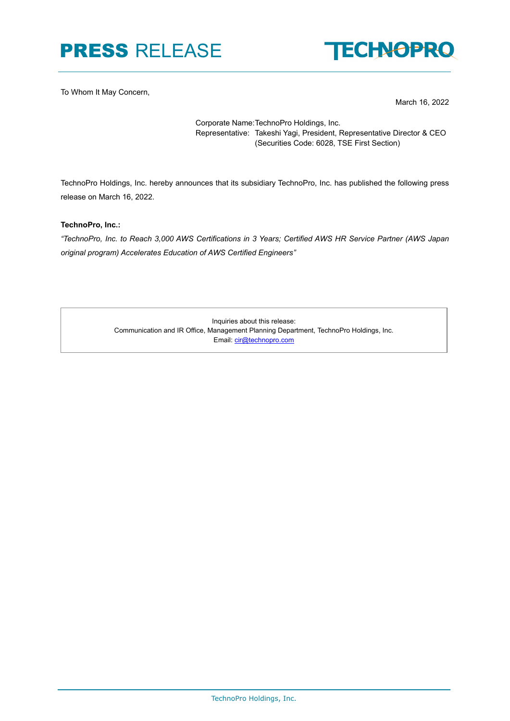# PRESS RELEASE



To Whom It May Concern,

March 16, 2022

Corporate Name:TechnoPro Holdings, Inc. Representative: Takeshi Yagi, President, Representative Director & CEO (Securities Code: 6028, TSE First Section)

TechnoPro Holdings, Inc. hereby announces that its subsidiary TechnoPro, Inc. has published the following press release on March 16, 2022.

**TechnoPro, Inc.:** 

*"TechnoPro, Inc. to Reach 3,000 AWS Certifications in 3 Years; Certified AWS HR Service Partner (AWS Japan original program) Accelerates Education of AWS Certified Engineers"*

> Inquiries about this release: Communication and IR Office, Management Planning Department, TechnoPro Holdings, Inc. Email: [cir@technopro.com](mailto:cir@technopro.com)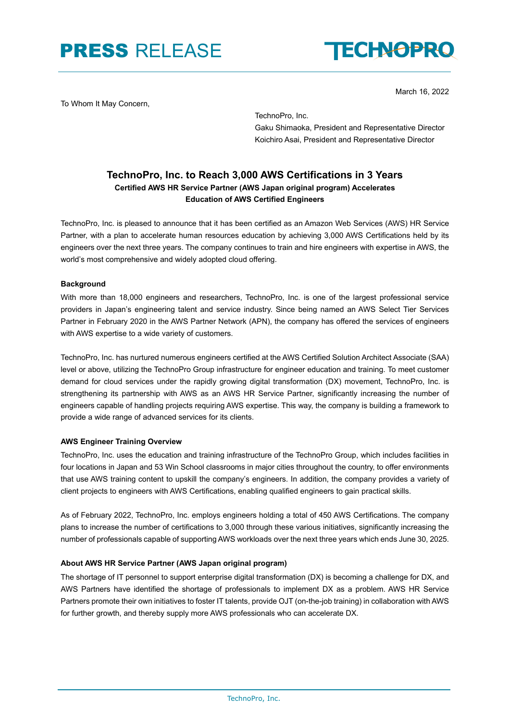### PRESS RELEASE



March 16, 2022

To Whom It May Concern,

TechnoPro, Inc. Gaku Shimaoka, President and Representative Director Koichiro Asai, President and Representative Director

### **TechnoPro, Inc. to Reach 3,000 AWS Certifications in 3 Years Certified AWS HR Service Partner (AWS Japan original program) Accelerates Education of AWS Certified Engineers**

TechnoPro, Inc. is pleased to announce that it has been certified as an Amazon Web Services (AWS) HR Service Partner, with a plan to accelerate human resources education by achieving 3,000 AWS Certifications held by its engineers over the next three years. The company continues to train and hire engineers with expertise in AWS, the world's most comprehensive and widely adopted cloud offering.

### **Background**

With more than 18,000 engineers and researchers, TechnoPro, Inc. is one of the largest professional service providers in Japan's engineering talent and service industry. Since being named an AWS Select Tier Services Partner in February 2020 in the AWS Partner Network (APN), the company has offered the services of engineers with AWS expertise to a wide variety of customers.

TechnoPro, Inc. has nurtured numerous engineers certified at the AWS Certified Solution Architect Associate (SAA) level or above, utilizing the TechnoPro Group infrastructure for engineer education and training. To meet customer demand for cloud services under the rapidly growing digital transformation (DX) movement, TechnoPro, Inc. is strengthening its partnership with AWS as an AWS HR Service Partner, significantly increasing the number of engineers capable of handling projects requiring AWS expertise. This way, the company is building a framework to provide a wide range of advanced services for its clients.

#### **AWS Engineer Training Overview**

TechnoPro, Inc. uses the education and training infrastructure of the TechnoPro Group, which includes facilities in four locations in Japan and 53 Win School classrooms in major cities throughout the country, to offer environments that use AWS training content to upskill the company's engineers. In addition, the company provides a variety of client projects to engineers with AWS Certifications, enabling qualified engineers to gain practical skills.

As of February 2022, TechnoPro, Inc. employs engineers holding a total of 450 AWS Certifications. The company plans to increase the number of certifications to 3,000 through these various initiatives, significantly increasing the number of professionals capable of supporting AWS workloads over the next three years which ends June 30, 2025.

#### **About AWS HR Service Partner (AWS Japan original program)**

The shortage of IT personnel to support enterprise digital transformation (DX) is becoming a challenge for DX, and AWS Partners have identified the shortage of professionals to implement DX as a problem. AWS HR Service Partners promote their own initiatives to foster IT talents, provide OJT (on-the-job training) in collaboration with AWS for further growth, and thereby supply more AWS professionals who can accelerate DX.